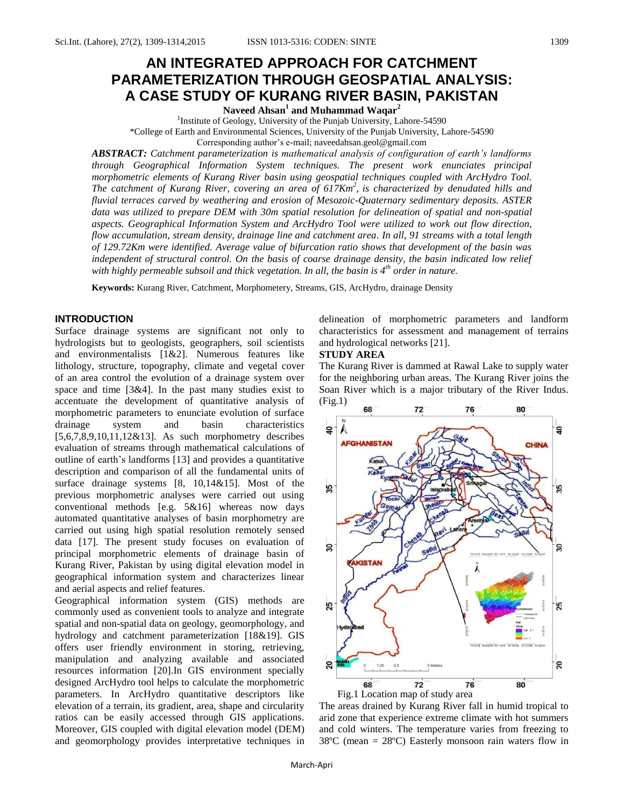# **AN INTEGRATED APPROACH FOR CATCHMENT PARAMETERIZATION THROUGH GEOSPATIAL ANALYSIS: A CASE STUDY OF KURANG RIVER BASIN, PAKISTAN**

**Naveed Ahsan<sup>1</sup> and Muhammad Waqar<sup>2</sup>**

<sup>1</sup>Institute of Geology, University of the Punjab University, Lahore-54590 \*College of Earth and Environmental Sciences, University of the Punjab University, Lahore-54590 Corresponding author's e-mail; naveedahsan.geol@gmail.com

*ABSTRACT: Catchment parameterization is mathematical analysis of configuration of earth's landforms through Geographical Information System techniques. The present work enunciates principal morphometric elements of Kurang River basin using geospatial techniques coupled with ArcHydro Tool. The catchment of Kurang River, covering an area of 617Km<sup>2</sup> , is characterized by denudated hills and fluvial terraces carved by weathering and erosion of Mesozoic-Quaternary sedimentary deposits. ASTER*  data was utilized to prepare DEM with 30m spatial resolution for delineation of spatial and non-spatial *aspects. Geographical Information System and ArcHydro Tool were utilized to work out flow direction, flow accumulation, stream density, drainage line and catchment area. In all, 91 streams with a total length of 129.72Km were identified. Average value of bifurcation ratio shows that development of the basin was independent of structural control. On the basis of coarse drainage density, the basin indicated low relief with highly permeable subsoil and thick vegetation. In all, the basin is 4th order in nature.*

**Keywords:** Kurang River, Catchment, Morphometery, Streams, GIS, ArcHydro, drainage Density

# **INTRODUCTION**

Surface drainage systems are significant not only to hydrologists but to geologists, geographers, soil scientists and environmentalists [1&2]. Numerous features like lithology, structure, topography, climate and vegetal cover of an area control the evolution of a drainage system over space and time [3&4]. In the past many studies exist to accentuate the development of quantitative analysis of morphometric parameters to enunciate evolution of surface drainage system and basin characteristics [5,6,7,8,9,10,11,12&13]. As such morphometry describes evaluation of streams through mathematical calculations of outline of earth's landforms [13] and provides a quantitative description and comparison of all the fundamental units of surface drainage systems [8, 10,14&15]. Most of the previous morphometric analyses were carried out using conventional methods [e.g. 5&16] whereas now days automated quantitative analyses of basin morphometry are carried out using high spatial resolution remotely sensed data [17]. The present study focuses on evaluation of principal morphometric elements of drainage basin of Kurang River, Pakistan by using digital elevation model in geographical information system and characterizes linear and aerial aspects and relief features.

Geographical information system (GIS) methods are commonly used as convenient tools to analyze and integrate spatial and non-spatial data on geology, geomorphology, and hydrology and catchment parameterization [18&19]. GIS offers user friendly environment in storing, retrieving, manipulation and analyzing available and associated resources information [20].In GIS environment specially designed ArcHydro tool helps to calculate the morphometric parameters. In ArcHydro quantitative descriptors like elevation of a terrain, its gradient, area, shape and circularity ratios can be easily accessed through GIS applications. Moreover, GIS coupled with digital elevation model (DEM) and geomorphology provides interpretative techniques in delineation of morphometric parameters and landform characteristics for assessment and management of terrains and hydrological networks [21].

# **STUDY AREA**

The Kurang River is dammed at Rawal Lake to supply water for the neighboring urban areas. The Kurang River joins the Soan River which is a major tributary of the River Indus.  $(Fig.1)$ 



The areas drained by Kurang River fall in humid tropical to arid zone that experience extreme climate with hot summers and cold winters. The temperature varies from freezing to 38ºC (mean = 28ºC) Easterly monsoon rain waters flow in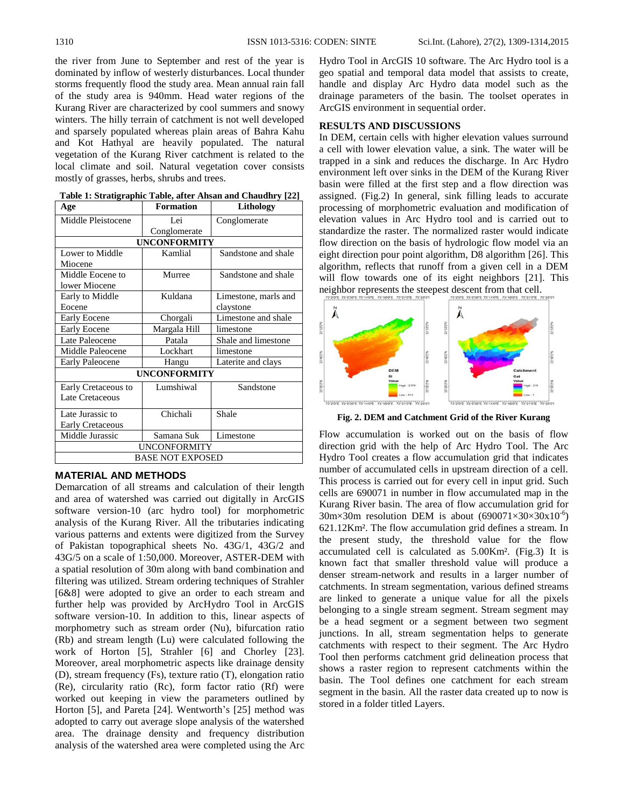the river from June to September and rest of the year is dominated by inflow of westerly disturbances. Local thunder storms frequently flood the study area. Mean annual rain fall of the study area is 940mm. Head water regions of the Kurang River are characterized by cool summers and snowy winters. The hilly terrain of catchment is not well developed and sparsely populated whereas plain areas of Bahra Kahu and Kot Hathyal are heavily populated. The natural vegetation of the Kurang River catchment is related to the local climate and soil. Natural vegetation cover consists mostly of grasses, herbs, shrubs and trees.

| Age                     | <b>Formation</b> | Lithology            |  |  |  |
|-------------------------|------------------|----------------------|--|--|--|
| Middle Pleistocene      | Lei              | Conglomerate         |  |  |  |
|                         | Conglomerate     |                      |  |  |  |
| <b>UNCONFORMITY</b>     |                  |                      |  |  |  |
| Lower to Middle         | Kamlial          | Sandstone and shale  |  |  |  |
| Miocene                 |                  |                      |  |  |  |
| Middle Eocene to        | Murree           | Sandstone and shale  |  |  |  |
| lower Miocene           |                  |                      |  |  |  |
| Early to Middle         | Kuldana          | Limestone, marls and |  |  |  |
| Eocene                  |                  | claystone            |  |  |  |
| <b>Early Eocene</b>     | Chorgali         | Limestone and shale  |  |  |  |
| <b>Early Eocene</b>     | Margala Hill     | limestone            |  |  |  |
| Late Paleocene          | Patala           | Shale and limestone  |  |  |  |
| Middle Paleocene        | Lockhart         | limestone            |  |  |  |
| <b>Early Paleocene</b>  | Hangu            | Laterite and clays   |  |  |  |
| <b>UNCONFORMITY</b>     |                  |                      |  |  |  |
| Early Cretaceous to     | Lumshiwal        | Sandstone            |  |  |  |
| Late Cretaceous         |                  |                      |  |  |  |
| Late Jurassic to        | Chichali         | Shale                |  |  |  |
| <b>Early Cretaceous</b> |                  |                      |  |  |  |
| Middle Jurassic         | Samana Suk       | Limestone            |  |  |  |
| <b>UNCONFORMITY</b>     |                  |                      |  |  |  |
| <b>BASE NOT EXPOSED</b> |                  |                      |  |  |  |
|                         |                  |                      |  |  |  |

# **MATERIAL AND METHODS**

Demarcation of all streams and calculation of their length and area of watershed was carried out digitally in ArcGIS software version-10 (arc hydro tool) for morphometric analysis of the Kurang River. All the tributaries indicating various patterns and extents were digitized from the Survey of Pakistan topographical sheets No. 43G/1, 43G/2 and 43G/5 on a scale of 1:50,000. Moreover, ASTER-DEM with a spatial resolution of 30m along with band combination and filtering was utilized. Stream ordering techniques of Strahler [6&8] were adopted to give an order to each stream and further help was provided by ArcHydro Tool in ArcGIS software version-10. In addition to this, linear aspects of morphometry such as stream order (Nu), bifurcation ratio (Rb) and stream length (Lu) were calculated following the work of Horton [5], Strahler [6] and Chorley [23]. Moreover, areal morphometric aspects like drainage density (D), stream frequency (Fs), texture ratio (T), elongation ratio (Re), circularity ratio (Rc), form factor ratio (Rf) were worked out keeping in view the parameters outlined by Horton [5], and Pareta [24]. Wentworth's [25] method was adopted to carry out average slope analysis of the watershed area. The drainage density and frequency distribution analysis of the watershed area were completed using the Arc

Hydro Tool in ArcGIS 10 software. The Arc Hydro tool is a geo spatial and temporal data model that assists to create, handle and display Arc Hydro data model such as the drainage parameters of the basin. The toolset operates in ArcGIS environment in sequential order.

# **RESULTS AND DISCUSSIONS**

In DEM, certain cells with higher elevation values surround a cell with lower elevation value, a sink. The water will be trapped in a sink and reduces the discharge. In Arc Hydro environment left over sinks in the DEM of the Kurang River basin were filled at the first step and a flow direction was assigned. (Fig.2) In general, sink filling leads to accurate processing of morphometric evaluation and modification of elevation values in Arc Hydro tool and is carried out to standardize the raster. The normalized raster would indicate flow direction on the basis of hydrologic flow model via an eight direction pour point algorithm, D8 algorithm [26]. This algorithm, reflects that runoff from a given cell in a DEM will flow towards one of its eight neighbors [21]. This neighbor represents the steepest descent from that cell.



**Fig. 2. DEM and Catchment Grid of the River Kurang**

Flow accumulation is worked out on the basis of flow direction grid with the help of Arc Hydro Tool. The Arc Hydro Tool creates a flow accumulation grid that indicates number of accumulated cells in upstream direction of a cell. This process is carried out for every cell in input grid. Such cells are 690071 in number in flow accumulated map in the Kurang River basin. The area of flow accumulation grid for  $30 \text{m} \times 30 \text{m}$  resolution DEM is about  $(690071 \times 30 \times 30 \text{x} 10^{-6})$ 621.12Km². The flow accumulation grid defines a stream. In the present study, the threshold value for the flow accumulated cell is calculated as 5.00Km². (Fig.3) It is known fact that smaller threshold value will produce a denser stream-network and results in a larger number of catchments. In stream segmentation, various defined streams are linked to generate a unique value for all the pixels belonging to a single stream segment. Stream segment may be a head segment or a segment between two segment junctions. In all, stream segmentation helps to generate catchments with respect to their segment. The Arc Hydro Tool then performs catchment grid delineation process that shows a raster region to represent catchments within the basin. The Tool defines one catchment for each stream segment in the basin. All the raster data created up to now is stored in a folder titled Layers.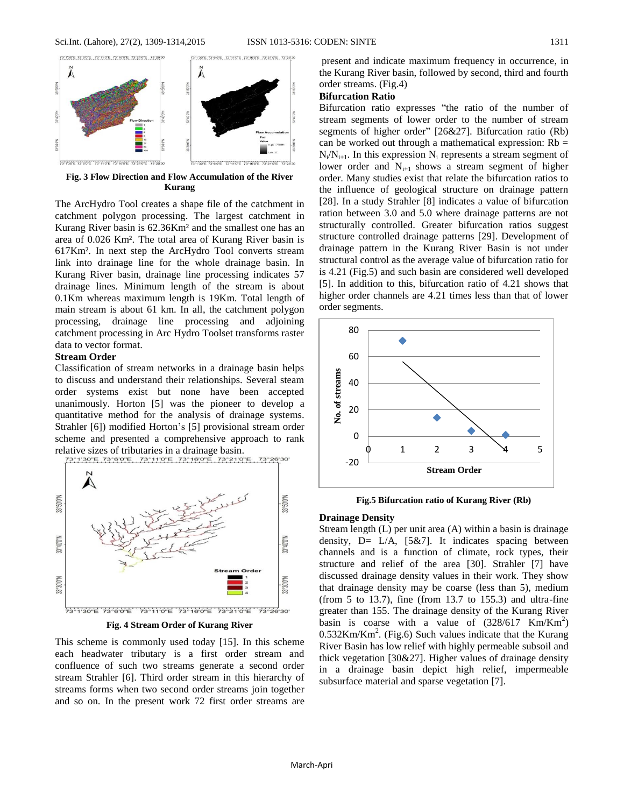|<br>|-<br>|23°4'30°E ||23°6'0'E ||23°44'0°E ||23°46'0°E ||23°24'0°E

3°500°N



**Fig. 3 Flow Direction and Flow Accumulation of the River Kurang**

TRANSPORT TRANSPORT TRANSPORT

The ArcHydro Tool creates a shape file of the catchment in catchment polygon processing. The largest catchment in Kurang River basin is 62.36Km² and the smallest one has an area of 0.026 Km². The total area of Kurang River basin is 617Km². In next step the ArcHydro Tool converts stream link into drainage line for the whole drainage basin. In Kurang River basin, drainage line processing indicates 57 drainage lines. Minimum length of the stream is about 0.1Km whereas maximum length is 19Km. Total length of main stream is about 61 km. In all, the catchment polygon processing, drainage line processing and adjoining catchment processing in Arc Hydro Toolset transforms raster data to vector format.

### **Stream Order**

Classification of stream networks in a drainage basin helps to discuss and understand their relationships. Several steam order systems exist but none have been accepted unanimously. Horton [5] was the pioneer to develop a quantitative method for the analysis of drainage systems. Strahler [6]) modified Horton's [5] provisional stream order scheme and presented a comprehensive approach to rank relative sizes of tributaries in a drainage basin.<br>  $73.13975.733975...73.11975...73.19975...73.21975...$ 



**Fig. 4 Stream Order of Kurang River**

This scheme is commonly used today [15]. In this scheme each headwater tributary is a first order stream and confluence of such two streams generate a second order stream Strahler [6]. Third order stream in this hierarchy of streams forms when two second order streams join together and so on. In the present work 72 first order streams are

present and indicate maximum frequency in occurrence, in the Kurang River basin, followed by second, third and fourth order streams. (Fig.4)

# **Bifurcation Ratio**

Bifurcation ratio expresses "the ratio of the number of stream segments of lower order to the number of stream segments of higher order" [26&27]. Bifurcation ratio (Rb) can be worked out through a mathematical expression:  $Rb =$  $N_i/N_{i+1}$ . In this expression  $N_i$  represents a stream segment of lower order and  $N_{i+1}$  shows a stream segment of higher order. Many studies exist that relate the bifurcation ratios to the influence of geological structure on drainage pattern [28]. In a study Strahler [8] indicates a value of bifurcation ration between 3.0 and 5.0 where drainage patterns are not structurally controlled. Greater bifurcation ratios suggest structure controlled drainage patterns [29]. Development of drainage pattern in the Kurang River Basin is not under structural control as the average value of bifurcation ratio for is 4.21 (Fig.5) and such basin are considered well developed [5]. In addition to this, bifurcation ratio of 4.21 shows that higher order channels are 4.21 times less than that of lower order segments.



**Fig.5 Bifurcation ratio of Kurang River (Rb)**

#### **Drainage Density**

Stream length (L) per unit area (A) within a basin is drainage density,  $D = L/A$ , [5&7]. It indicates spacing between channels and is a function of climate, rock types, their structure and relief of the area [30]. Strahler [7] have discussed drainage density values in their work. They show that drainage density may be coarse (less than 5), medium (from 5 to 13.7), fine (from 13.7 to 155.3) and ultra-fine greater than 155. The drainage density of the Kurang River basin is coarse with a value of  $(328/617 \text{ Km/Km}^2)$  $0.532$ Km/Km<sup>2</sup>. (Fig.6) Such values indicate that the Kurang River Basin has low relief with highly permeable subsoil and thick vegetation [30&27]. Higher values of drainage density in a drainage basin depict high relief, impermeable subsurface material and sparse vegetation [7].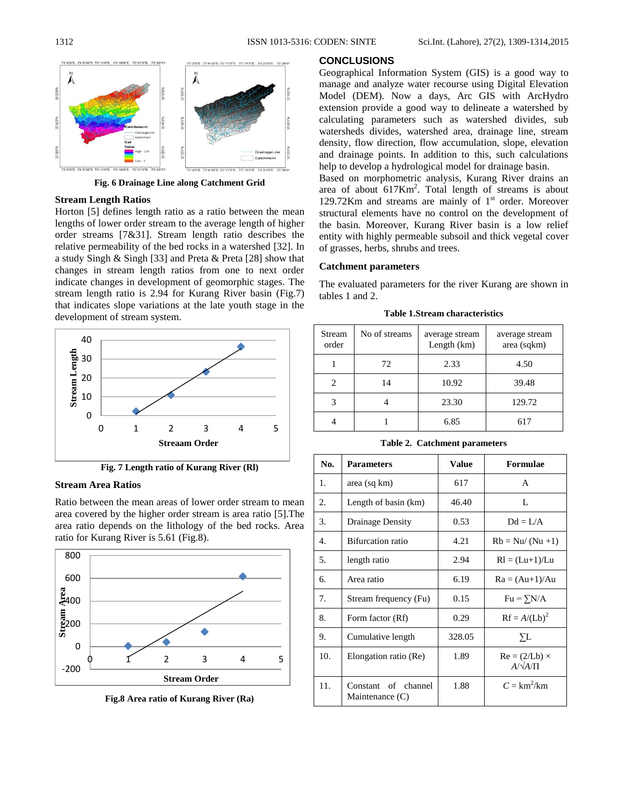



**Fig. 6 Drainage Line along Catchment Grid**

# **Stream Length Ratios**

Horton [5] defines length ratio as a ratio between the mean lengths of lower order stream to the average length of higher order streams [7&31]. Stream length ratio describes the relative permeability of the bed rocks in a watershed [32]. In a study Singh & Singh [33] and Preta & Preta [28] show that changes in stream length ratios from one to next order indicate changes in development of geomorphic stages. The stream length ratio is 2.94 for Kurang River basin (Fig.7) that indicates slope variations at the late youth stage in the development of stream system.



**Fig. 7 Length ratio of Kurang River (Rl)**

# **Stream Area Ratios**

Ratio between the mean areas of lower order stream to mean area covered by the higher order stream is area ratio [5].The area ratio depends on the lithology of the bed rocks. Area ratio for Kurang River is 5.61 (Fig.8).



**Fig.8 Area ratio of Kurang River (Ra)**

# **CONCLUSIONS**

Geographical Information System (GIS) is a good way to manage and analyze water recourse using Digital Elevation Model (DEM). Now a days, Arc GIS with ArcHydro extension provide a good way to delineate a watershed by calculating parameters such as watershed divides, sub watersheds divides, watershed area, drainage line, stream density, flow direction, flow accumulation, slope, elevation and drainage points. In addition to this, such calculations help to develop a hydrological model for drainage basin.

Based on morphometric analysis, Kurang River drains an area of about  $617Km^2$ . Total length of streams is about 129.72Km and streams are mainly of  $1<sup>st</sup>$  order. Moreover structural elements have no control on the development of the basin. Moreover, Kurang River basin is a low relief entity with highly permeable subsoil and thick vegetal cover of grasses, herbs, shrubs and trees.

# **Catchment parameters**

The evaluated parameters for the river Kurang are shown in tables 1 and 2.

**Table 1.Stream characteristics**

| Stream<br>order | No of streams | average stream<br>Length $(km)$ | average stream<br>area (sqkm) |
|-----------------|---------------|---------------------------------|-------------------------------|
|                 | 72            | 2.33                            | 4.50                          |
|                 | 14            | 10.92                           | 39.48                         |
|                 |               | 23.30                           | 129.72                        |
|                 |               | 6.85                            | 617                           |

|  | <b>Table 2. Catchment parameters</b> |  |
|--|--------------------------------------|--|
|--|--------------------------------------|--|

| No. | <b>Parameters</b>                         | <b>Value</b> | Formulae                                 |
|-----|-------------------------------------------|--------------|------------------------------------------|
| 1.  | area (sq km)                              | 617          | A                                        |
| 2.  | Length of basin (km)                      | 46.40        | L                                        |
| 3.  | Drainage Density                          | 0.53         | $Dd = L/A$                               |
| 4.  | <b>Bifurcation</b> ratio                  | 4.21         | $Rb = Nu/(Nu +1)$                        |
| 5.  | length ratio                              | 2.94         | $Rl = (Lu+1)/Lu$                         |
| б.  | Area ratio                                | 6.19         | $Ra = (Au+1)/Au$                         |
| 7.  | Stream frequency (Fu)                     | 0.15         | $Fu = \sum N/A$                          |
| 8.  | Form factor (Rf)                          | 0.29         | $Rf = A/(Lb)^2$                          |
| 9.  | Cumulative length                         | 328.05       | УL                                       |
| 10. | Elongation ratio (Re)                     | 1.89         | $Re = (2/Lb) \times$<br>$A/\sqrt{A/\Pi}$ |
| 11. | Constant<br>of channel<br>Maintenance (C) | 1.88         | $C = km^2/km$                            |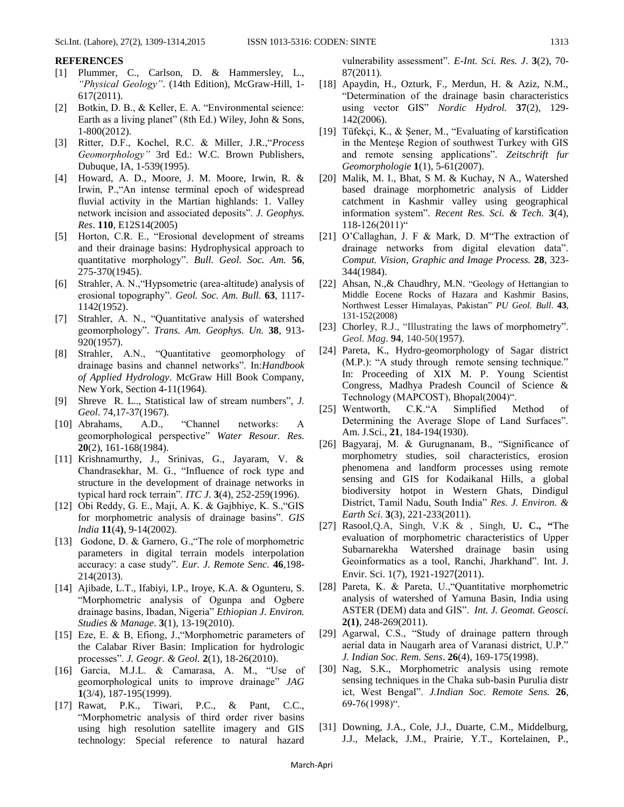# **REFERENCES**

- [1] Plummer, C., Carlson, D. & Hammersley, L., *"Physical Geology"*. (14th Edition), McGraw-Hill, 1- 617(2011).
- [2] Botkin, D. B., & Keller, E. A. "Environmental science: Earth as a living planet" (8th Ed.) Wiley, John & Sons, 1-800(2012).
- [3] Ritter, D.F., Kochel, R.C. & Miller, J.R.,"*Process Geomorphology"* 3rd Ed.: W.C. Brown Publishers, Dubuque, IA, 1-539(1995).
- [4] Howard, A. D., Moore, J. M. Moore, Irwin, R. & Irwin, P.,"An intense terminal epoch of widespread fluvial activity in the Martian highlands: 1. Valley network incision and associated deposits". *J. Geophys. Res*. **110**, E12S14(2005)
- [5] Horton, C.R. E., "Erosional development of streams and their drainage basins: Hydrophysical approach to quantitative morphology". *Bull. Geol. Soc. Am.* **56**, 275-370(1945).
- [6] Strahler, A. N.,"Hypsometric (area-altitude) analysis of erosional topography". *Geol. Soc. Am. Bull.* **63**, 1117- 1142(1952).
- [7] Strahler, A. N., "Quantitative analysis of watershed geomorphology". *Trans. Am. Geophys. Un.* **38**, 913- 920(1957).
- [8] Strahler, A.N., "Quantitative geomorphology of drainage basins and channel networks". In:*Handbook of Applied Hydrology*. McGraw Hill Book Company, New York, Section 4-11(1964).
- [9] Shreve R. L.., Statistical law of stream numbers", *J. Geol*. 74,17-37(1967).
- [10] Abrahams, A.D., "Channel networks: A geomorphological perspective" *Water Resour. Res.* **20**(2), 161-168(1984).
- [11] Krishnamurthy, J., Srinivas, G., Jayaram, V. & Chandrasekhar, M. G., "Influence of rock type and structure in the development of drainage networks in typical hard rock terrain". *ITC J*. **3**(4), 252-259(1996).
- [12] Obi Reddy, G. E., Maji, A. K. & Gajbhiye, K. S.,"GIS for morphometric analysis of drainage basins". *GIS lndia* **11**(4**)**, 9-14(2002).
- [13] Godone, D. & Garnero, G., "The role of morphometric parameters in digital terrain models interpolation accuracy: a case study". *Eur. J. Remote Senc.* **46**,198- 214(2013).
- [14] Ajibade, L.T., Ifabiyi, I.P., Iroye, K.A. & Ogunteru, S. "Morphometric analysis of Ogunpa and Ogbere drainage basins, Ibadan, Nigeria" *Ethiopian J. Environ. Studies & Manage*. **3**(1), 13-19(2010).
- [15] Eze, E. & B, Efiong, J.,"Morphometric parameters of the Calabar River Basin: Implication for hydrologic processes". *J. Geogr. & Geol.* **2**(1), 18-26(2010).
- [16] Garcia, M.J.L. & Camarasa, A. M., "Use of geomorphological units to improve drainage" *JAG* **1**(3/4), 187-195(1999).
- [17] Rawat, P.K., Tiwari, P.C., & Pant, C.C., "Morphometric analysis of third order river basins using high resolution satellite imagery and GIS technology: Special reference to natural hazard

vulnerability assessment". *E-Int. Sci. Res. J*. **3**(2), 70- 87(2011).

- [18] Apaydin, H., Ozturk, F., Merdun, H. & Aziz, N.M., "Determination of the drainage basin characteristics using vector GIS" *Nordic Hydrol.* **37**(2), 129- 142(2006).
- [19] Tüfekçi, K., & Şener, M., "Evaluating of karstification in the Menteşe Region of southwest Turkey with GIS and remote sensing applications". *Zeitschrift fur Geomorphologie* **1**(1), 5-61(2007).
- [20] Malik, M. I., Bhat, S M. & Kuchay, N A., Watershed based drainage morphometric analysis of Lidder catchment in Kashmir valley using geographical information system". *Recent Res. Sci. & Tech.* **3**(4),  $118-126(2011)^{4}$
- [21] O'Callaghan, J. F & Mark, D. M"The extraction of drainage networks from digital elevation data". *Comput. Vision, Graphic and Image Process.* **28**, 323- 344(1984).
- [22] Ahsan, N., & Chaudhry, M.N. "Geology of Hettangian to Middle Eocene Rocks of Hazara and Kashmir Basins, Northwest Lesser Himalayas, Pakistan" *PU Geol. Bull*. **43**, 131-152(2008)
- [23] Chorley, R.J., "Illustrating the laws of morphometry". *Geol. Mag*. **94**, 140-50(1957).
- [24] Pareta, K., Hydro-geomorphology of Sagar district (M.P.): "A study through remote sensing technique." In: Proceeding of XIX M. P. Young Scientist Congress, Madhya Pradesh Council of Science & Technology (MAPCOST), Bhopal(2004)".
- [25] Wentworth, C.K."A Simplified Method of Determining the Average Slope of Land Surfaces". Am. J.Sci., **21**, 184-194(1930).
- [26] Bagyaraj, M. & Gurugnanam, B., "Significance of morphometry studies, soil characteristics, erosion phenomena and landform processes using remote sensing and GIS for Kodaikanal Hills, a global biodiversity hotpot in Western Ghats, Dindigul District, Tamil Nadu, South India" *Res. J. Environ. & Earth Sci*. **3**(3), 221-233(2011).
- [27] Rasool,Q.A, Singh, V.K & , Singh, **U. C., "**The evaluation of morphometric characteristics of Upper Subarnarekha Watershed drainage basin using Geoinformatics as a tool, Ranchi, Jharkhand". Int. J. Envir. Sci. 1(7), 1921-1927(2011).
- [28] Pareta, K. & Pareta, U.,"Quantitative morphometric analysis of watershed of Yamuna Basin, India using ASTER (DEM) data and GIS". *Int. J. Geomat. Geosci.*  **2(1)**, 248-269(2011).
- [29] Agarwal, C.S., "Study of drainage pattern through aerial data in Naugarh area of Varanasi district, U.P." *J. Indian Soc. Rem. Sens*. **26**(4), 169-175(1998).
- [30] Nag, S.K., Morphometric analysis using remote sensing techniques in the Chaka sub-basin Purulia distr ict, West Bengal". *J.Indian Soc. Remote Sens.* **26**, 6976(1998)".
- [31] Downing, J.A., Cole, J.J., Duarte, C.M., Middelburg, J.J., Melack, J.M., Prairie, Y.T., Kortelainen, P.,